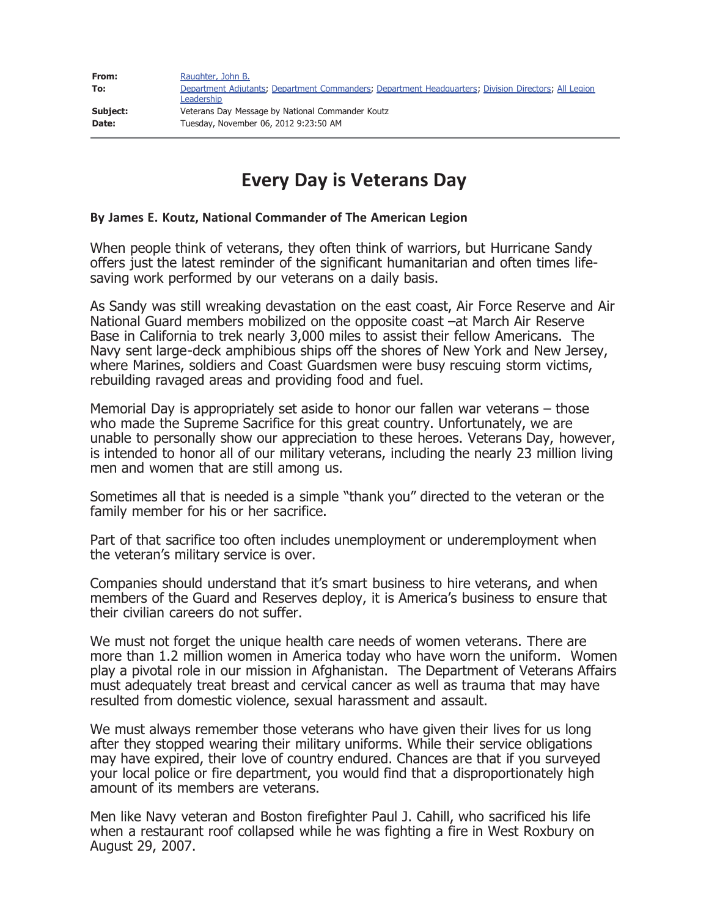| From:           | Raughter, John B.                                                                                                  |
|-----------------|--------------------------------------------------------------------------------------------------------------------|
| To:             | Department Adjutants; Department Commanders; Department Headquarters; Division Directors; All Legion<br>Leadership |
| <b>Subject:</b> | Veterans Day Message by National Commander Koutz                                                                   |
| Date:           | Tuesday, November 06, 2012 9:23:50 AM                                                                              |

## **Every Day is Veterans Day**

## **By James E. Koutz, National Commander of The American Legion**

When people think of veterans, they often think of warriors, but Hurricane Sandy offers just the latest reminder of the significant humanitarian and often times lifesaving work performed by our veterans on a daily basis.

As Sandy was still wreaking devastation on the east coast, Air Force Reserve and Air National Guard members mobilized on the opposite coast –at March Air Reserve Base in California to trek nearly 3,000 miles to assist their fellow Americans. The Navy sent large-deck amphibious ships off the shores of New York and New Jersey, where Marines, soldiers and Coast Guardsmen were busy rescuing storm victims, rebuilding ravaged areas and providing food and fuel.

Memorial Day is appropriately set aside to honor our fallen war veterans – those who made the Supreme Sacrifice for this great country. Unfortunately, we are unable to personally show our appreciation to these heroes. Veterans Day, however, is intended to honor all of our military veterans, including the nearly 23 million living men and women that are still among us.

Sometimes all that is needed is a simple "thank you" directed to the veteran or the family member for his or her sacrifice.

Part of that sacrifice too often includes unemployment or underemployment when the veteran's military service is over.

Companies should understand that it's smart business to hire veterans, and when members of the Guard and Reserves deploy, it is America's business to ensure that their civilian careers do not suffer.

We must not forget the unique health care needs of women veterans. There are more than 1.2 million women in America today who have worn the uniform. Women play a pivotal role in our mission in Afghanistan. The Department of Veterans Affairs must adequately treat breast and cervical cancer as well as trauma that may have resulted from domestic violence, sexual harassment and assault.

We must always remember those veterans who have given their lives for us long after they stopped wearing their military uniforms. While their service obligations may have expired, their love of country endured. Chances are that if you surveyed your local police or fire department, you would find that a disproportionately high amount of its members are veterans.

Men like Navy veteran and Boston firefighter Paul J. Cahill, who sacrificed his life when a restaurant roof collapsed while he was fighting a fire in West Roxbury on August 29, 2007.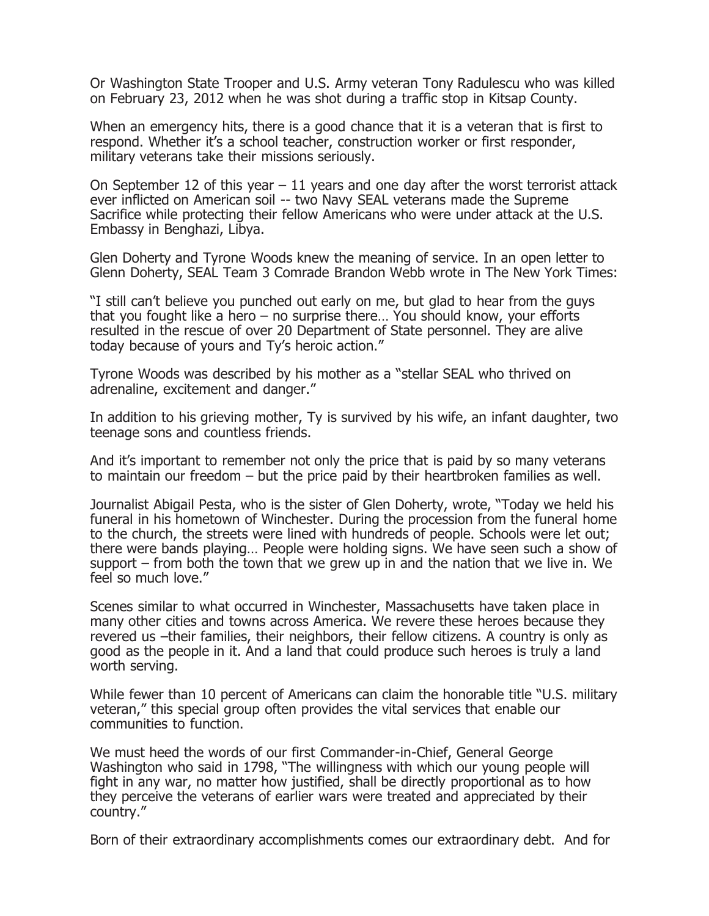Or Washington State Trooper and U.S. Army veteran Tony Radulescu who was killed on February 23, 2012 when he was shot during a traffic stop in Kitsap County.

When an emergency hits, there is a good chance that it is a veteran that is first to respond. Whether it's a school teacher, construction worker or first responder, military veterans take their missions seriously.

On September 12 of this year  $-11$  years and one day after the worst terrorist attack ever inflicted on American soil -- two Navy SEAL veterans made the Supreme Sacrifice while protecting their fellow Americans who were under attack at the U.S. Embassy in Benghazi, Libya.

Glen Doherty and Tyrone Woods knew the meaning of service. In an open letter to Glenn Doherty, SEAL Team 3 Comrade Brandon Webb wrote in The New York Times:

"I still can't believe you punched out early on me, but glad to hear from the guys that you fought like a hero – no surprise there… You should know, your efforts resulted in the rescue of over 20 Department of State personnel. They are alive today because of yours and Ty's heroic action."

Tyrone Woods was described by his mother as a "stellar SEAL who thrived on adrenaline, excitement and danger."

In addition to his grieving mother, Ty is survived by his wife, an infant daughter, two teenage sons and countless friends.

And it's important to remember not only the price that is paid by so many veterans to maintain our freedom – but the price paid by their heartbroken families as well.

Journalist Abigail Pesta, who is the sister of Glen Doherty, wrote, "Today we held his funeral in his hometown of Winchester. During the procession from the funeral home to the church, the streets were lined with hundreds of people. Schools were let out; there were bands playing… People were holding signs. We have seen such a show of support – from both the town that we grew up in and the nation that we live in. We feel so much love."

Scenes similar to what occurred in Winchester, Massachusetts have taken place in many other cities and towns across America. We revere these heroes because they revered us –their families, their neighbors, their fellow citizens. A country is only as good as the people in it. And a land that could produce such heroes is truly a land worth serving.

While fewer than 10 percent of Americans can claim the honorable title "U.S. military veteran," this special group often provides the vital services that enable our communities to function.

We must heed the words of our first Commander-in-Chief, General George Washington who said in 1798, "The willingness with which our young people will fight in any war, no matter how justified, shall be directly proportional as to how they perceive the veterans of earlier wars were treated and appreciated by their country."

Born of their extraordinary accomplishments comes our extraordinary debt. And for